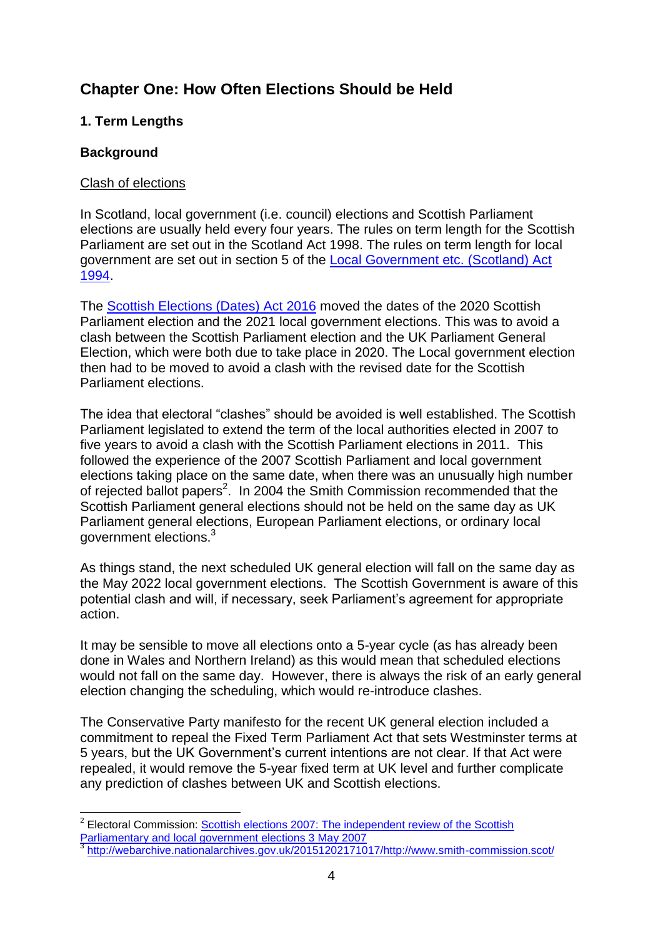# **Chapter One: How Often Elections Should be Held**

## **1. Term Lengths**

### **Background**

1

#### Clash of elections

In Scotland, local government (i.e. council) elections and Scottish Parliament elections are usually held every four years. The rules on term length for the Scottish Parliament are set out in the Scotland Act 1998. The rules on term length for local government are set out in section 5 of the [Local Government etc. \(Scotland\) Act](http://www.legislation.gov.uk/ukpga/1994/39/section/5)  [1994.](http://www.legislation.gov.uk/ukpga/1994/39/section/5)

The [Scottish Elections \(Dates\) Act 2016](http://www.legislation.gov.uk/asp/2016/13/contents) moved the dates of the 2020 Scottish Parliament election and the 2021 local government elections. This was to avoid a clash between the Scottish Parliament election and the UK Parliament General Election, which were both due to take place in 2020. The Local government election then had to be moved to avoid a clash with the revised date for the Scottish Parliament elections.

The idea that electoral "clashes" should be avoided is well established. The Scottish Parliament legislated to extend the term of the local authorities elected in 2007 to five years to avoid a clash with the Scottish Parliament elections in 2011. This followed the experience of the 2007 Scottish Parliament and local government elections taking place on the same date, when there was an unusually high number of rejected ballot papers<sup>2</sup>. In 2004 the Smith Commission recommended that the Scottish Parliament general elections should not be held on the same day as UK Parliament general elections, European Parliament elections, or ordinary local government elections.<sup>3</sup>

As things stand, the next scheduled UK general election will fall on the same day as the May 2022 local government elections. The Scottish Government is aware of this potential clash and will, if necessary, seek Parliament's agreement for appropriate action.

It may be sensible to move all elections onto a 5-year cycle (as has already been done in Wales and Northern Ireland) as this would mean that scheduled elections would not fall on the same day. However, there is always the risk of an early general election changing the scheduling, which would re-introduce clashes.

The Conservative Party manifesto for the recent UK general election included a commitment to repeal the Fixed Term Parliament Act that sets Westminster terms at 5 years, but the UK Government's current intentions are not clear. If that Act were repealed, it would remove the 5-year fixed term at UK level and further complicate any prediction of clashes between UK and Scottish elections.

<sup>&</sup>lt;sup>2</sup> Electoral Commission: **Scottish elections 2007: The independent review of the Scottish** [Parliamentary and local government elections 3 May 2007](https://www.electoralcommission.org.uk/__data/assets/electoral_commission_pdf_file/0011/13223/Scottish-Election-Report-A-Final-For-Web.pdf)<br>3 http://webarabive.netionalershives.gov.uk/201512001716

[http://webarchive.nationalarchives.gov.uk/20151202171017/http://www.smith-commission.scot/](http://webarchive.nationalarchives.gov.uk/20151202171017/http:/www.smith-commission.scot/)